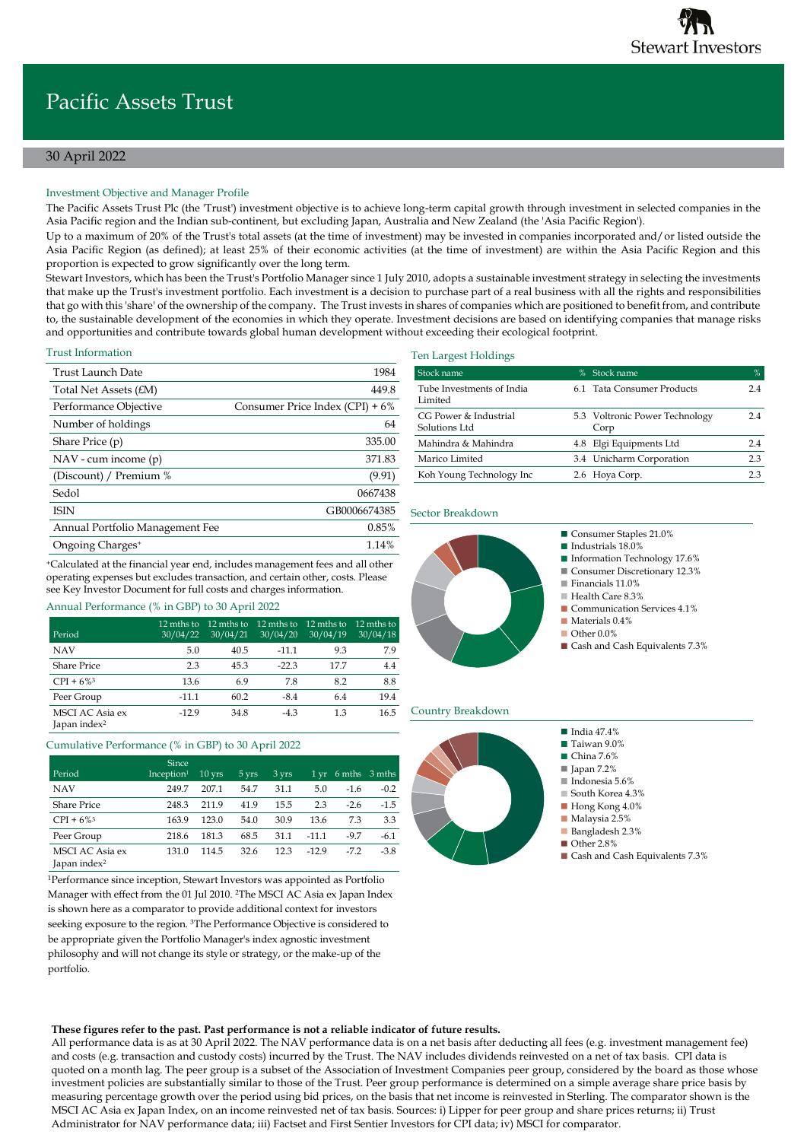# 30 April 2022

# Investment Objective and Manager Profile

The Pacific Assets Trust Plc (the 'Trust') investment objective is to achieve long-term capital growth through investment in selected companies in the Asia Pacific region and the Indian sub-continent, but excluding Japan, Australia and New Zealand (the 'Asia Pacific Region').

Up to a maximum of 20% of the Trust's total assets (at the time of investment) may be invested in companies incorporated and/or listed outside the Asia Pacific Region (as defined); at least 25% of their economic activities (at the time of investment) are within the Asia Pacific Region and this proportion is expected to grow significantly over the long term.

Stewart Investors, which has been the Trust's Portfolio Manager since 1 July 2010, adopts a sustainable investment strategy in selecting the investments that make up the Trust's investment portfolio. Each investment is a decision to purchase part of a real business with all the rights and responsibilities that go with this 'share' of the ownership of the company. The Trust invests in shares of companies which are positioned to benefit from, and contribute to, the sustainable development of the economies in which they operate. Investment decisions are based on identifying companies that manage risks and opportunities and contribute towards global human development without exceeding their ecological footprint.

### Trust Information

Period

| Trust Launch Date                | 1984                            |
|----------------------------------|---------------------------------|
| Total Net Assets $f_{\text{EM}}$ | 449.8                           |
| Performance Objective            | Consumer Price Index (CPI) + 6% |
| Number of holdings               | 64                              |
| Share Price (p)                  | 335.00                          |
| $NAV - cum income (p)$           | 371.83                          |
| (Discount) / Premium %           | (9.91)                          |
| Sedol                            | 0667438                         |
| <b>ISIN</b>                      | GB0006674385                    |
| Annual Portfolio Management Fee  | 0.85%                           |
| Ongoing Charges <sup>+</sup>     | 1.14%                           |

<sup>+</sup>Calculated at the financial year end, includes management fees and all other operating expenses but excludes transaction, and certain other, costs. Please see Key Investor Document for full costs and charges information.

> 12 mths to 30/04/21

12 mths to 30/04/20 12 mths to 30/04/19 12 mths to 30/04/18 Ten Largest Holdings

| Stock name                             | $\%$ | Stock name                             | %   |
|----------------------------------------|------|----------------------------------------|-----|
| Tube Investments of India<br>Limited   |      | 6.1 Tata Consumer Products             | 24  |
| CG Power & Industrial<br>Solutions Ltd |      | 5.3 Voltronic Power Technology<br>Corp | 24  |
| Mahindra & Mahindra                    |      | 4.8 Elgi Equipments Ltd                | 2.4 |
| Marico Limited                         |      | 3.4 Unicharm Corporation               | 2.3 |
| Koh Young Technology Inc               |      | 2.6 Hoya Corp.                         | 23  |

### Sector Breakdown



### Country Breakdown



# NAV 5.0 40.5 -11.1 9.3 7.9 Share Price 2.3 45.3 -22.3 17.7 4.4

CPI +  $6\%$ <sup>3</sup> 13.6 6.9 7.8 8.2 8.8 Peer Group -11.1 60.2 -8.4 6.4 19.4 MSCI AC Asia ex Japan index<sup>2</sup> -12.9 34.8 -4.3 1.3 16.5

Annual Performance (% in GBP) to 30 April 2022

12 mths to 30/04/22

# Cumulative Performance (% in GBP) to 30 April 2022

|                                             | Since                  |                  |       |       |         |        |        |
|---------------------------------------------|------------------------|------------------|-------|-------|---------|--------|--------|
| Period                                      | Inception <sup>1</sup> | $10 \text{ yrs}$ | 5 yrs | 3 yrs | 1 yr    | 6 mths | 3 mths |
| <b>NAV</b>                                  | 249.7                  | 207.1            | 54.7  | 31.1  | 5.0     | $-1.6$ | $-0.2$ |
| <b>Share Price</b>                          | 248.3                  | 211.9            | 41.9  | 15.5  | 2.3     | $-2.6$ | $-1.5$ |
| $CPI + 6\%$ <sup>3</sup>                    | 163.9                  | 123.0            | 54.0  | 30.9  | 13.6    | 7.3    | 3.3    |
| Peer Group                                  | 218.6                  | 181.3            | 68.5  | 31.1  | $-11.1$ | $-9.7$ | $-6.1$ |
| MSCI AC Asia ex<br>Japan index <sup>2</sup> | 131.0                  | 114.5            | 32.6  | 12.3  | $-129$  | $-7.2$ | $-3.8$ |

<sup>1</sup>Performance since inception, Stewart Investors was appointed as Portfolio Manager with effect from the 01 Jul 2010. <sup>2</sup>The MSCI AC Asia ex Japan Index is shown here as a comparator to provide additional context for investors seeking exposure to the region. <sup>3</sup>The Performance Objective is considered to be appropriate given the Portfolio Manager's index agnostic investment philosophy and will not change its style or strategy, or the make-up of the portfolio.

# **These figures refer to the past. Past performance is not a reliable indicator of future results.**

All performance data is as at 30 April 2022. The NAV performance data is on a net basis after deducting all fees (e.g. investment management fee) and costs (e.g. transaction and custody costs) incurred by the Trust. The NAV includes dividends reinvested on a net of tax basis. CPI data is quoted on a month lag. The peer group is a subset of the Association of Investment Companies peer group, considered by the board as those whose investment policies are substantially similar to those of the Trust. Peer group performance is determined on a simple average share price basis by measuring percentage growth over the period using bid prices, on the basis that net income is reinvested in Sterling. The comparator shown is the MSCI AC Asia ex Japan Index, on an income reinvested net of tax basis. Sources: i) Lipper for peer group and share prices returns; ii) Trust Administrator for NAV performance data; iii) Factset and First Sentier Investors for CPI data; iv) MSCI for comparator.